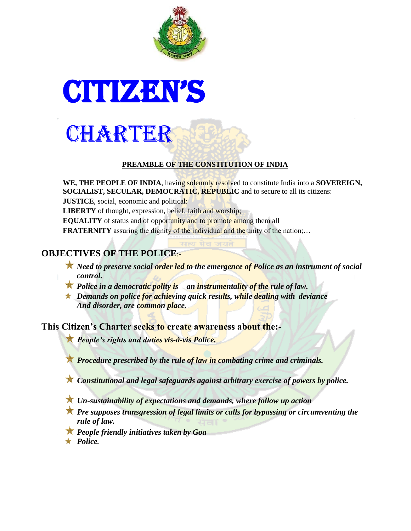

# **CITIZEN'S**



#### **PREAMBLE OF THE CONSTITUTION OF INDIA**

**WE, THE PEOPLE OF INDIA**, having solemnly resolved to constitute India into a **SOVEREIGN, SOCIALIST, SECULAR, DEMOCRATIC, REPUBLIC** and to secure to all its citizens:

**JUSTICE**, social, economic and political:

**LIBERTY** of thought, expression, belief, faith and worship;

**EQUALITY** of status and of opportunity and to promote among them all

**FRATERNITY** assuring the dignity of the individual and the unity of the nation;...

# **OBJECTIVES OF THE POLICE**:-

- **X** Need to preserve social order led to the emergence of Police as an instrument of social *control.*
- *Police in a democratic polity is an instrumentality of the rule of law.*
- *Demands on police for achieving quick results, while dealing with deviance And disorder, are common place.*

**This Citizen's Charter seeks to create awareness about the:-**

*People's rights and duties vis-à-vis Police.*

*Procedure prescribed by the rule of law in combating crime and criminals.*

*Constitutional and legal safeguards against arbitrary exercise of powers by police.*

*Un-sustainability of expectations and demands, where follow up action*

*Pre supposes transgression of legal limits or calls for bypassing or circumventing the rule of law.*

*People friendly initiatives taken by Goa* 

*Police.*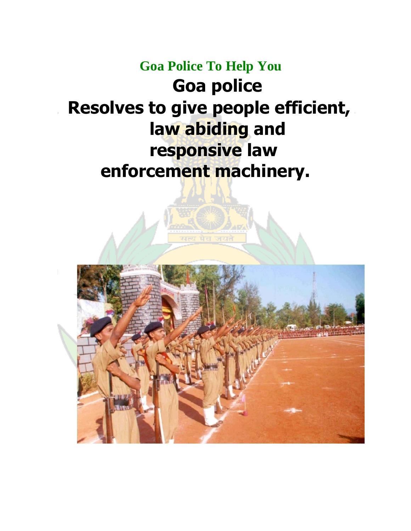# **Goa Police To Help You Goa police Resolves to give people efficient, law abiding and responsive law enforcement machinery.**

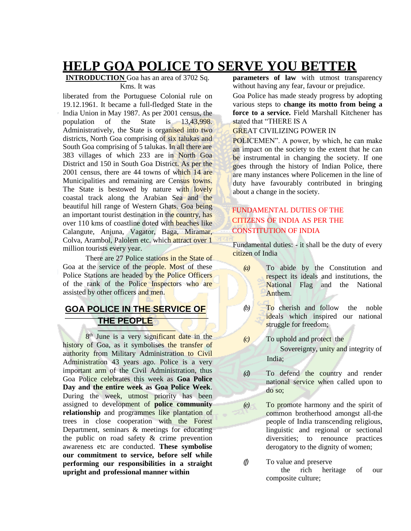# **HELP GOA POLICE TO SERVE YOU BETTER**

#### **INTRODUCTION** Goa has an area of 3702 Sq. Kms. It was

liberated from the Portuguese Colonial rule on 19.12.1961. It became a full-fledged State in the India Union in May 1987. As per 2001 census, the population of the State is 13,43,998. Administratively, the State is organised into two districts, North Goa comprising of six talukas and South Goa comprising of 5 talukas. In all there are 383 villages of which 233 are in North Goa District and 150 in South Goa District. As per the 2001 census, there are 44 towns of which 14 are Municipalities and remaining are Census towns. The State is bestowed by nature with lovely coastal track along the Arabian Sea and the beautiful hill range of Western Ghats. Goa being an important tourist destination in the country, has over 110 kms of coastline doted with beaches like Calangute, Anjuna, Vagator, Baga, Miramar, Colva, Arambol, Palolem etc. which attract over 1 million tourists every year.

There are 27 Police stations in the State of Goa at the service of the people. Most of these Police Stations are headed by the Police Officers of the rank of the Police Inspectors who are assisted by other officers and men.

## **GOA POLICE IN THE SERVICE OF THE PEOPLE**

8<sup>th</sup> June is a very significant date in the history of Goa, as it symbolises the transfer of authority from Military Administration to Civil Administration 43 years ago. Police is a very important arm of the Civil Administration, thus Goa Police celebrates this week as **Goa Police Day and the entire week as Goa Police Week**. During the week, utmost priority has been assigned to development of **police community relationship** and programmes like plantation of trees in close cooperation with the Forest Department, seminars & meetings for educating the public on road safety & crime prevention awareness etc are conducted. **These symbolise our commitment to service, before self while performing our responsibilities in a straight upright and professional manner within**

**parameters of law** with utmost transparency without having any fear, favour or prejudice.

Goa Police has made steady progress by adopting various steps to **change its motto from being a force to a service.** Field Marshall Kitchener has stated that "THERE IS A

#### GREAT CIVILIZING POWER IN

POLICEMEN". A power, by which, he can make an impact on the society to the extent that he can be instrumental in changing the society. If one goes through the history of Indian Police, there are many instances where Policemen in the line of duty have favourably contributed in bringing about a change in the society.

#### FUNDAMENTAL DUTIES OF THE CITIZENS OF INDIA AS PER THE CONSTITUTION OF INDIA

Fundamental duties: - it shall be the duty of every citizen of India

- *(a)* To abide by the Constitution and respect its ideals and institutions, the National Flag and the National Anthem.
- *(b)* To cherish and follow the noble ideals which inspired our national struggle for freedom;

*(c)* To uphold and protect the Sovereignty, unity and integrity of India;

- *(d)* To defend the country and render national service when called upon to do so;
- *(e)* To promote harmony and the spirit of common brotherhood amongst all-the people of India transcending religious, linguistic and regional or sectional diversities; to renounce practices derogatory to the dignity of women;
- *(f)* To value and preserve the rich heritage of our composite culture;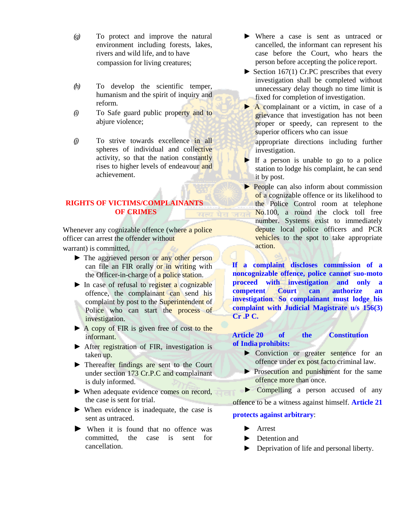- *(g)* To protect and improve the natural environment including forests, lakes, rivers and wild life, and to have compassion for living creatures;
- *(h)* To develop the scientific temper, humanism and the spirit of inquiry and reform.
- *(i)* To Safe guard public property and to abjure violence;
- *(j)* To strive towards excellence in all spheres of individual and collective activity, so that the nation constantly rises to higher levels of endeavour and achievement.

#### **RIGHTS OF VICTIMS/COMPLAINANTS OF CRIMES**

Whenever any cognizable offence (where a police officer can arrest the offender without

warrant) is committed,

- ► The aggrieved person or any other person can file an FIR orally or in writing with the Officer-in-charge of a police station.
- $\triangleright$  In case of refusal to register a cognizable offence, the complainant can send his complaint by post to the Superintendent of Police who can start the process of investigation.
- ► A copy of FIR is given free of cost to the informant.
- ► After registration of FIR, investigation is taken up.
- ► Thereafter findings are sent to the Court under section 173 Cr.P.C and complainant is duly informed.
- ► When adequate evidence comes on record, the case is sent for trial.
- ► When evidence is inadequate, the case is sent as untraced.
- ► When it is found that no offence was committed, the case is sent for cancellation.
- ► Where a case is sent as untraced or cancelled, the informant can represent his case before the Court, who hears the person before accepting the police report.
- $\blacktriangleright$  Section 167(1) Cr.PC prescribes that every investigation shall be completed without unnecessary delay though no time limit is fixed for completion of investigation.
- ► A complainant or a victim, in case of a grievance that investigation has not been proper or speedy, can represent to the superior officers who can issue

appropriate directions including further investigation.

- $\blacktriangleright$  If a person is unable to go to a police station to lodge his complaint, he can send it by post.
- ► People can also inform about commission of a cognizable offence or its likelihood to the Police Control room at telephone No.100, a round the clock toll free number. Systems exist to immediately depute local police officers and PCR vehicles to the spot to take appropriate action.

**If a complaint discloses commission of a noncognizable offence, police cannot suo-moto proceed with investigation and only a competent Court can authorize an investigation**. **So complainant must lodge his complaint with Judicial Magistrate u/s 156(3) Cr .P C.**

#### **Article 20 of the Constitution of India prohibits:**

- ► Conviction or greater sentence for an offence under ex post facto criminal law.
- ► Prosecution and punishment for the same offence more than once.
- ► Compelling a person accused of any

offence to be a witness against himself. **Article 21** 

#### **protects against arbitrary**:

- ► Arrest
- ► Detention and
- ► Deprivation of life and personal liberty.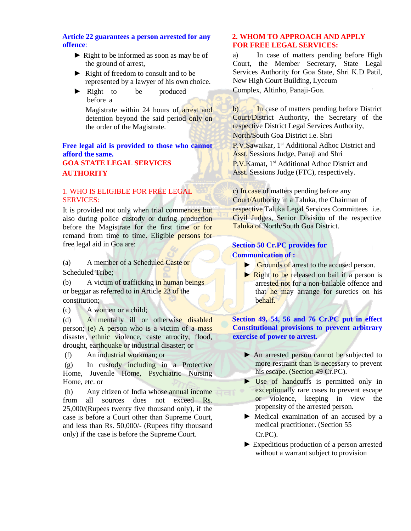#### **Article 22 guarantees a person arrested for any offence**:

- ► Right to be informed as soon as may be of the ground of arrest,
- ► Right of freedom to consult and to be represented by a lawyer of his own choice.
- ► Right to be produced before a

Magistrate within 24 hours of arrest and detention beyond the said period only on the order of the Magistrate.

#### **Free legal aid is provided to those who cannot afford the same. GOA STATE LEGAL SERVICES AUTHORITY**

#### 1. WHO IS ELIGIBLE FOR FREE LEGAL SERVICES:

It is provided not only when trial commences but also during police custody or during production before the Magistrate for the first time or for remand from time to time. Eligible persons for free legal aid in Goa are:

(a) A member of a Scheduled Caste or Scheduled Tribe;

(b) A victim of trafficking in human beings or beggar as referred to in Article 23 of the constitution;

(c) A women or a child;

(d) A mentally ill or otherwise disabled person; (e) A person who is a victim of a mass disaster, ethnic violence, caste atrocity, flood, drought, earthquake or industrial disaster; or

(f) An industrial workman; or

(g) In custody including in a Protective Home, Juvenile Home, Psychiatric Nursing Home, etc. or

(h) Any citizen of India whose annual income from all sources does not exceed Rs. 25,000/(Rupees twenty five thousand only), if the case is before a Court other than Supreme Court, and less than Rs. 50,000/- (Rupees fifty thousand only) if the case is before the Supreme Court.

#### **2. WHOM TO APPROACH AND APPLY FOR FREE LEGAL SERVICES:**

a) In case of matters pending before High Court, the Member Secretary, State Legal Services Authority for Goa State, Shri K.D Patil, New High Court Building, Lyceum Complex, Altinho, Panaji-Goa.

b) In case of matters pending before District Court/District Authority, the Secretary of the respective District Legal Services Authority, North/South Goa District i.e. Shri

P.V.Sawaikar, 1<sup>st</sup> Additional Adhoc District and Asst. Sessions Judge, Panaji and Shri P.V.Kamat, 1<sup>st</sup> Additional Adhoc District and

Asst. Sessions Judge (FTC), respectively.

c) In case of matters pending before any Court/Authority in a Taluka, the Chairman of respective Taluka Legal Services Committees i.e. Civil Judges, Senior Division of the respective Taluka of North/South Goa District.

#### **Section 50 Cr.PC provides for Communication of :**

- ► Grounds of arrest to the accused person.
- ► Right to be released on bail if a person is arrested not for a non-bailable offence and that he may arrange for sureties on his behalf.

**Section 49, 54, 56 and 76 Cr.PC put in effect Constitutional provisions to prevent arbitrary exercise of power to arrest.**

- ► An arrested person cannot be subjected to more restraint than is necessary to prevent his escape. (Section 49 Cr.PC).
- ► Use of handcuffs is permitted only in exceptionally rare cases to prevent escape or violence, keeping in view the propensity of the arrested person.
- ► Medical examination of an accused by a medical practitioner. (Section 55 Cr.PC).
- ► Expeditious production of a person arrested without a warrant subject to provision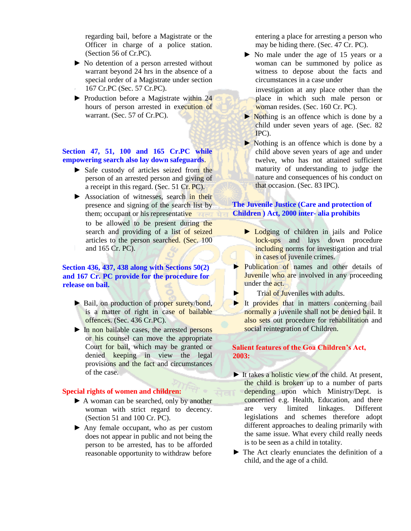regarding bail, before a Magistrate or the Officer in charge of a police station. (Section 56 of Cr.PC).

- ► No detention of a person arrested without warrant beyond 24 hrs in the absence of a special order of a Magistrate under section 167 Cr.PC (Sec. 57 Cr.PC).
- ► Production before a Magistrate within 24 hours of person arrested in execution of warrant. (Sec. 57 of Cr.PC).

#### **Section 47, 51, 100 and 165 Cr.PC while empowering search also lay down safeguards**.

- ► Safe custody of articles seized from the person of an arrested person and giving of a receipt in this regard. (Sec. 51 Cr. PC).
- ► Association of witnesses, search in their presence and signing of the search list by them; occupant or his representative to be allowed to be present during the search and providing of a list of seized articles to the person searched. (Sec. 100 and 165 Cr. PC).

#### **Section 436, 437, 438 along with Sections 50(2) and 167 Cr. PC provide for the procedure for release on bail.**

- ► Bail, on production of proper surety/bond, is a matter of right in case of bailable offences. (Sec. 436 Cr.PC).
- ► In non bailable cases, the arrested persons or his counsel can move the appropriate Court for bail, which may be granted or denied keeping in view the legal provisions and the fact and circumstances of the case.

#### **Special rights of women and children:**

- ► A woman can be searched, only by another woman with strict regard to decency. (Section 51 and 100 Cr. PC).
- ► Any female occupant, who as per custom does not appear in public and not being the person to be arrested, has to be afforded reasonable opportunity to withdraw before

entering a place for arresting a person who may be hiding there. (Sec. 47 Cr. PC).

► No male under the age of 15 years or a woman can be summoned by police as witness to depose about the facts and circumstances in a case under

investigation at any place other than the place in which such male person or woman resides. (Sec. 160 Cr. PC).

- ► Nothing is an offence which is done by a child under seven years of age. (Sec. 82 IPC).
- ► Nothing is an offence which is done by a child above seven years of age and under twelve, who has not attained sufficient maturity of understanding to judge the nature and consequences of his conduct on that occasion. (Sec. 83 IPC).

#### **The Juvenile Justice (Care and protection of Children ) Act, 2000 inter- alia prohibits**

- ► Lodging of children in jails and Police lock-ups and lays down procedure including norms for investigation and trial in cases of juvenile crimes.
- ► Publication of names and other details of Juvenile who are involved in any proceeding under the act.
- ► Trial of Juveniles with adults.
- ► It provides that in matters concerning bail normally a juvenile shall not be denied bail. It also sets out procedure for rehabilitation and social reintegration of Children.

#### **Salient features of the Goa Children's Act, 2003:**

- $\blacktriangleright$  It takes a holistic view of the child. At present, the child is broken up to a number of parts depending upon which Ministry/Dept. is concerned e.g. Health, Education, and there are very limited linkages. Different legislations and schemes therefore adopt different approaches to dealing primarily with the same issue. What every child really needs is to be seen as a child in totality.
- ► The Act clearly enunciates the definition of a child, and the age of a child.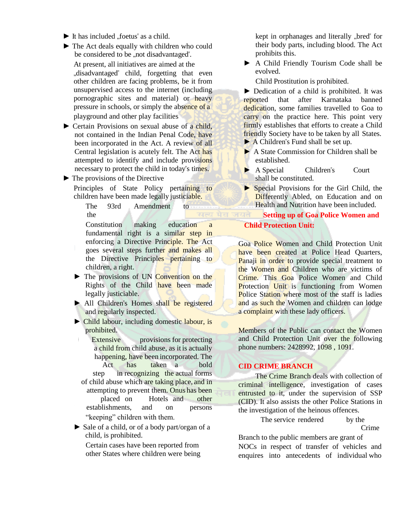- $\blacktriangleright$  It has included ... foetus<sup>"</sup> as a child.
- ► The Act deals equally with children who could be considered to be "not disadvantaged". At present, all initiatives are aimed at the .disadvantaged" child, forgetting that even other children are facing problems, be it from unsupervised access to the internet (including pornographic sites and material) or heavy pressure in schools, or simply the absence of a playground and other play facilities
- ► Certain Provisions on sexual abuse of a child, not contained in the Indian Penal Code, have been incorporated in the Act. A review of all Central legislation is acutely felt. The Act has attempted to identify and include provisions necessary to protect the child in today"s times.
- $\blacktriangleright$  The provisions of the Directive Principles of State Policy pertaining to children have been made legally justiciable.

The 93rd Amendment to the

Constitution making education a fundamental right is a similar step in enforcing a Directive Principle. The Act goes several steps further and makes all the Directive Principles pertaining to children, a right.

- ► The provisions of UN Convention on the Rights of the Child have been made legally justiciable.
- ► All Children's Homes shall be registered and regularly inspected.
- ► Child labour, including domestic labour, is prohibited.

Extensive provisions for protecting a child from child abuse, as it is actually happening, have been incorporated. The Act has taken a bold step in recognizing the actual forms of child abuse which are taking place, and in attempting to prevent them. Onus has been placed on Hotels and other establishments, and on persons "keeping" children with them.

► Sale of a child, or of a body part/organ of a child, is prohibited.

Certain cases have been reported from other States where children were being kept in orphanages and literally "bred" for their body parts, including blood. The Act prohibits this.

► A Child Friendly Tourism Code shall be evolved.

Child Prostitution is prohibited.

► Dedication of a child is prohibited. It was reported that after Karnataka banned dedication, some families travelled to Goa to carry on the practice here. This point very firmly establishes that efforts to create a Child friendly Society have to be taken by all States. ► A Children"s Fund shall be set up.

- ► A State Commission for Children shall be
- established.
- ► A Special Children"s Court shall be constituted.
- ► Special Provisions for the Girl Child, the Differently Abled, on Education and on Health and Nutrition have been included.

**Setting up of Goa Police Women and Child Protection Unit:**

Goa Police Women and Child Protection Unit have been created at Police Head Quarters, Panaji in order to provide special treatment to the Women and Children who are victims of Crime. This Goa Police Women and Child Protection Unit is functioning from Women Police Station where most of the staff is ladies and as such the Women and children can lodge a complaint with these lady officers.

Members of the Public can contact the Women and Child Protection Unit over the following phone numbers: 2428992, 1098 , 1091.

#### **CID CRIME BRANCH**

The Crime Branch deals with collection of criminal intelligence, investigation of cases entrusted to it, under the supervision of SSP (CID). It also assists the other Police Stations in the investigation of the heinous offences.

> The service rendered by the Crime

Branch to the public members are grant of NOCs in respect of transfer of vehicles and enquires into antecedents of individual who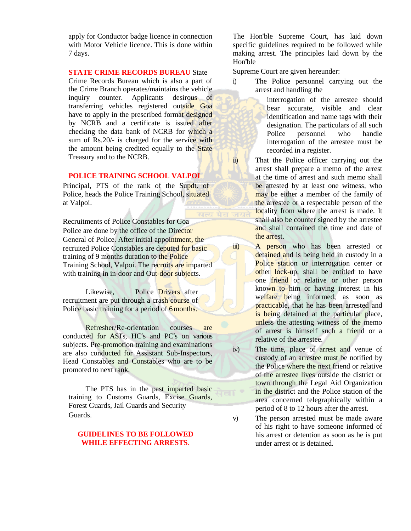apply for Conductor badge licence in connection with Motor Vehicle licence. This is done within 7 days.

#### **STATE CRIME RECORDS BUREAU** State

Crime Records Bureau which is also a part of the Crime Branch operates/maintains the vehicle inquiry counter. Applicants desirous of transferring vehicles registered outside Goa have to apply in the prescribed format designed by NCRB and a certificate is issued after checking the data bank of NCRB for which a sum of Rs.20/- is charged for the service with the amount being credited equally to the State Treasury and to the NCRB.

#### **POLICE TRAINING SCHOOL VALPOI**

Principal, PTS of the rank of the Supdt. of Police, heads the Police Training School, situated at Valpoi.

Recruitments of Police Constables for Goa Police are done by the office of the Director General of Police. After initial appointment, the recruited Police Constables are deputed for basic training of 9 months duration to the Police Training School, Valpoi. The recruits are imparted with training in in-door and Out-door subjects.

Likewise, Police Drivers after recruitment are put through a crash course of Police basic training for a period of 6 months.

Refresher/Re-orientation courses are conducted for ASI"s, HC"s and PC"s on various subjects. Pre-promotion training and examinations are also conducted for Assistant Sub-Inspectors, Head Constables and Constables who are to be promoted to next rank.

The PTS has in the past imparted basic training to Customs Guards, Excise Guards, Forest Guards, Jail Guards and Security Guards.

#### **GUIDELINES TO BE FOLLOWED WHILE EFFECTING ARRESTS**.

The Hon"ble Supreme Court, has laid down specific guidelines required to be followed while making arrest. The principles laid down by the Hon"ble

Supreme Court are given hereunder:

i) The Police personnel carrying out the arrest and handling the

> interrogation of the arrestee should bear accurate, visible and clear identification and name tags with their designation. The particulars of all such Police personnel who handle interrogation of the arrestee must be recorded in a register.

ii) That the Police officer carrying out the arrest shall prepare a memo of the arrest at the time of arrest and such memo shall be attested by at least one witness, who may be either a member of the family of the arrestee or a respectable person of the locality from where the arrest is made. It shall also be counter signed by the arrestee and shall contained the time and date of the arrest.

iii) A person who has been arrested or detained and is being held in custody in a Police station or interrogation center or other lock-up, shall be entitled to have one friend or relative or other person known to him or having interest in his welfare being informed, as soon as practicable, that he has been arrested and is being detained at the particular place, unless the attesting witness of the memo of arrest is himself such a friend or a relative of the arrestee.

iv) The time, place of arrest and venue of custody of an arrestee must be notified by the Police where the next friend or relative of the arrestee lives outside the district or town through the Legal Aid Organization in the district and the Police station of the area concerned telegraphically within a period of 8 to 12 hours after the arrest.

v) The person arrested must be made aware of his right to have someone informed of his arrest or detention as soon as he is put under arrest or is detained.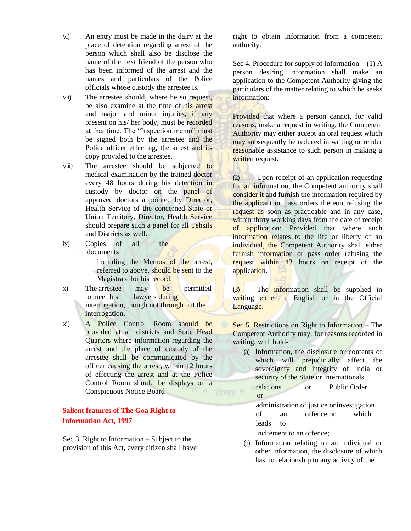- vi) An entry must be made in the dairy at the place of detention regarding arrest of the person which shall also be disclose the name of the next friend of the person who has been informed of the arrest and the names and particulars of the Police officials whose custody the arrestee is.
- vii) The arrestee should, where he so request, be also examine at the time of his arrest and major and minor injuries, if any present on his/ her body, must be recorded at that time. The "Inspection memo" must be signed both by the arrestee and the Police officer effecting, the arrest and its copy provided to the arrestee.
- viii) The arrestee should be subjected to medical examination by the trained doctor every 48 hours during his detention in custody by doctor on the panel of approved doctors appointed by Director, Health Service of the concerned State or Union Territory, Director, Health Service should prepare such a panel for all Tehsils and Districts as well.
- ix) Copies of all the documents

including the Memos of the arrest, referred to above, should be sent to the Magistrate for his record.

x) The arrestee may be permitted to meet his lawyers during interrogation, though not through out the interrogation.

xi) A Police Control Room should be provided at all districts and State Head Quarters where information regarding the arrest and the place of custody of the arrestee shall be communicated by the officer causing the arrest, within 12 hours of effecting the arrest and at the Police Control Room should be displays on a Conspicuous Notice Board

#### **Salient features of The Goa Right to Information Act, 1997**

Sec 3. Right to Information – Subject to the provision of this Act, every citizen shall have right to obtain information from a competent authority.

Sec 4. Procedure for supply of information  $- (1)$  A person desiring information shall make an application to the Competent Authority giving the particulars of the matter relating to which he seeks information:

Provided that where a person cannot, for valid reasons, make a request in writing, the Competent Authority may either accept an oral request which may subsequently be reduced in writing or render reasonable assistance to such person in making a written request.

(2) Upon receipt of an application requesting for an information, the Competent authority shall consider it and furnish the information required by the applicant or pass orders thereon refusing the request as soon as practicable and in any case, within thirty working days from the date of receipt of application: Provided that where such information relates to the life or liberty of an individual, the Competent Authority shall either furnish information or pass order refusing the request within 43 hours on receipt of the application.

(3) The information shall be supplied in writing either in English or in the Official Language.

Sec 5. Restrictions on Right to Information – The Competent Authority may, for reasons recorded in writing, with hold-

- (a) Information, the disclosure or contents of which will prejudicially affect the sovereignty and integrity of India or security of the State or Internationals
- relations or Public Order or
	- administration of justice orinvestigation of an offence or which leads to

incitement to an offence;

(b) Information relating to an individual or other information, the disclosure of which has no relationship to any activity of the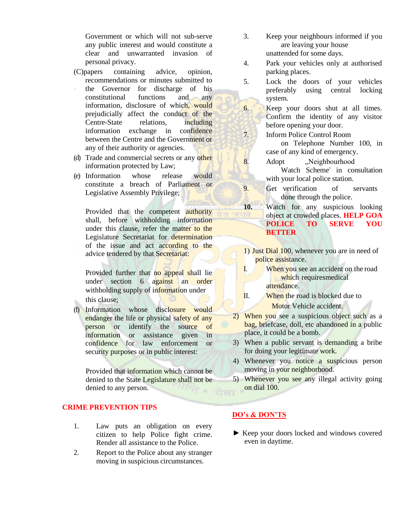Government or which will not sub-serve any public interest and would constitute a clear and unwarranted invasion of personal privacy.

- (C)papers containing advice, opinion, recommendations or minutes submitted to
- the Governor for discharge of his constitutional functions and any information, disclosure of which, would prejudicially affect the conduct of the Centre-State relations, including information exchange in confidence between the Centre and the Government or any of their authority or agencies.
- (d) Trade and commercial secrets or any other information protected by Law;
- (e) Information whose release would constitute a breach of Parliament or Legislative Assembly Privilege;

Provided that the competent authority shall, before withholding information under this clause, refer the matter to the Legislature Secretariat for determination of the issue and act according to the advice tendered by that Secretariat:

Provided further that no appeal shall lie under section 6 against an order withholding supply of information under this clause;

(f) Information whose disclosure would endanger the life or physical safety of any person or identify the source of information or assistance given in confidence for law enforcement or security purposes or in public interest:

Provided that information which cannot be denied to the State Legislature shall not be denied to any person.

#### **CRIME PREVENTION TIPS**

- 1. Law puts an obligation on every citizen to help Police fight crime. Render all assistance to the Police.
- 2. Report to the Police about any stranger moving in suspicious circumstances.
- 3. Keep your neighbours informed if you are leaving your house unattended for some days.
- 4. Park your vehicles only at authorised parking places.
- 5. Lock the doors of your vehicles preferably using central locking system.
- 6. Keep your doors shut at all times. Confirm the identity of any visitor before opening your door.
- 7. Inform Police Control Room on Telephone Number 100, in case of any kind of emergency.
- 8. Adopt "Neighbourhood Watch Scheme" in consultation with your local police station.
- 9. Get verification of servants done through the police.
- **10.** Watch for any suspicious looking object at crowded places. **HELP GOA POLICE TO SERVE YOU BETTER**
- 1) Just Dial 100, whenever you are in need of police assistance.
- I. When you see an accident on the road which requiresmedical attendance.
- II. When the road is blocked due to Motor Vehicle accident.
- 2) When you see a suspicious object such as a bag, briefcase, doll, etc abandoned in a public place, it could be a bomb.
- 3) When a public servant is demanding a bribe for doing your legitimate work.
- 4) Whenever you notice a suspicious person moving in your neighborhood.
- 5) Whenever you see any illegal activity going on dial 100.

#### **DO's & DON'TS**

► Keep your doors locked and windows covered even in daytime.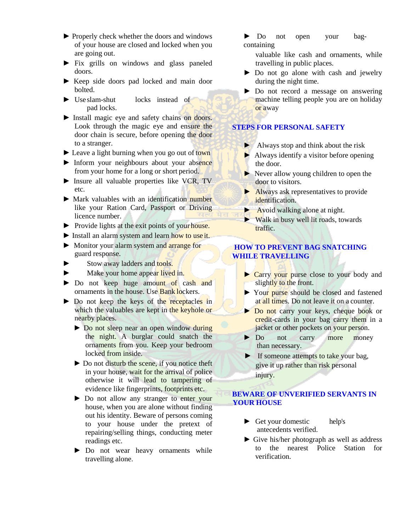- ► Properly check whether the doors and windows of your house are closed and locked when you are going out.
- ► Fix grills on windows and glass paneled doors.
- ► Keep side doors pad locked and main door bolted.
- ► Use slam-shut locks instead of pad locks.
- ► Install magic eye and safety chains on doors. Look through the magic eye and ensure the door chain is secure, before opening the door to a stranger.
- ► Leave a light burning when you go out of town
- ► Inform your neighbours about your absence from your home for a long or short period.
- ► Insure all valuable properties like VCR, TV etc.
- ► Mark valuables with an identification number like your Ration Card, Passport or Driving licence number.
- ► Provide lights at the exit points of your house.
- ► Install an alarm system and learn how to use it.
- ► Monitor your alarm system and arrange for guard response.
- Stow away ladders and tools.
- Make your home appear lived in.
- ► Do not keep huge amount of cash and ornaments in the house. Use Bank lockers.
- ► Do not keep the keys of the receptacles in which the valuables are kept in the keyhole or nearby places.
	- ► Do not sleep near an open window during the night. A burglar could snatch the ornaments from you. Keep your bedroom locked from inside.
	- ► Do not disturb the scene, if you notice theft in your house, wait for the arrival of police otherwise it will lead to tampering of evidence like fingerprints, footprints etc.
	- ► Do not allow any stranger to enter your house, when you are alone without finding out his identity. Beware of persons coming to your house under the pretext of repairing/selling things, conducting meter readings etc.
	- ► Do not wear heavy ornaments while travelling alone.

► Do not open your bagcontaining

valuable like cash and ornaments, while travelling in public places.

- ► Do not go alone with cash and jewelry during the night time.
- ► Do not record a message on answering machine telling people you are on holiday or away

#### **STEPS FOR PERSONAL SAFETY**

- ► Always stop and think about the risk
- $\blacktriangleright$  Always identify a visitor before opening the door.
- ► Never allow young children to open the door to visitors.
- ► Always ask representatives to provide identification.
- ► Avoid walking alone at night.
- $\triangleright$  Walk in busy well lit roads, towards traffic.

#### **HOW TO PREVENT BAG SNATCHING WHILE TRAVELLING**

- ► Carry your purse close to your body and slightly to the front.
- ► Your purse should be closed and fastened at all times. Do not leave it on a counter.
- ► Do not carry your keys, cheque book or credit-cards in your bag carry them in a jacket or other pockets on your person.
- ► Do not carry more money than necessary.
- ► If someone attempts to take your bag, give it up rather than risk personal injury.

#### **BEWARE OF UNVERIFIED SERVANTS IN YOUR HOUSE**

- ► Get your domestic help's antecedents verified.
- ► Give his/her photograph as well as address to the nearest Police Station for verification.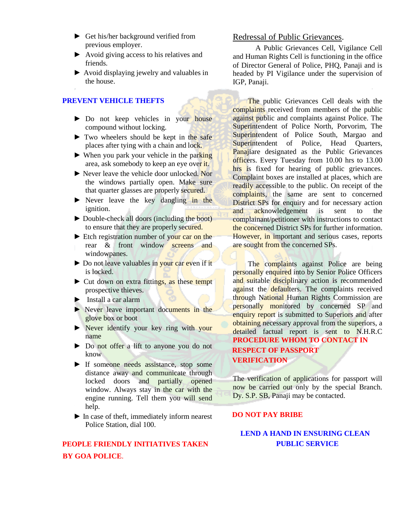- ► Get his/her background verified from previous employer.
- ► Avoid giving access to his relatives and friends.
- ► Avoid displaying jewelry and valuables in the house.

#### **PREVENT VEHICLE THEFTS**

- ► Do not keep vehicles in your house compound without locking.
- ► Two wheelers should be kept in the safe places after tying with a chain and lock.
- $\triangleright$  When you park your vehicle in the parking area, ask somebody to keep an eye over it.
- ► Never leave the vehicle door unlocked. Nor the windows partially open. Make sure that quarter glasses are properly secured.
- $\triangleright$  Never leave the key dangling in the ignition.
- ► Double-check all doors (including the boot) to ensure that they are properly secured.
- ► Etch registration number of your car on the rear & front window screens and windowpanes.
- ► Do not leave valuables in your car even if it is locked.
- ► Cut down on extra fittings, as these tempt prospective thieves.
- ► Install a car alarm
- ► Never leave important documents in the glove box or boot
- ► Never identify your key ring with your name
- ► Do not offer a lift to anyone you do not know
- ► If someone needs assistance, stop some distance away and communicate through locked doors and partially opened window. Always stay in the car with the engine running. Tell them you will send help.
- ► In case of theft, immediately inform nearest Police Station, dial 100.

## **PEOPLE FRIENDLY INITIATIVES TAKEN BY GOA POLICE**.

#### Redressal of Public Grievances.

A Public Grievances Cell, Vigilance Cell and Human Rights Cell is functioning in the office of Director General of Police, PHQ, Panaji and is headed by PI Vigilance under the supervision of IGP, Panaji.

The public Grievances Cell deals with the complaints received from members of the public against public and complaints against Police. The Superintendent of Police North, Porvorim, The Superintendent of Police South, Margao and Superintendent of Police, Head Quarters, Panajiare designated as the Public Grievances officers. Every Tuesday from 10.00 hrs to 13.00 hrs is fixed for hearing of public grievances. Complaint boxes are installed at places, which are readily accessible to the public. On receipt of the complaints, the same are sent to concerned District SPs for enquiry and for necessary action and acknowledgement is sent to the complainant/petitioner with instructions to contact the concerned District SPs for further information. However, in important and serious cases, reports are sought from the concerned SPs.

The complaints against Police are being personally enquired into by Senior Police Officers and suitable disciplinary action is recommended against the defaulters. The complaints received through National Human Rights Commission are personally monitored by concerned SP and enquiry report is submitted to Superiors and after obtaining necessary approval from the superiors, a detailed factual report is sent to N.H.R.C **PROCEDURE WHOM TO CONTACT IN RESPECT OF PASSPORT VERIFICATION**

The verification of applications for passport will now be carried out only by the special Branch. Dy. S.P. SB, Panaji may be contacted.

#### **DO NOT PAY BRIBE**

#### **LEND A HAND IN ENSURING CLEAN PUBLIC SERVICE**